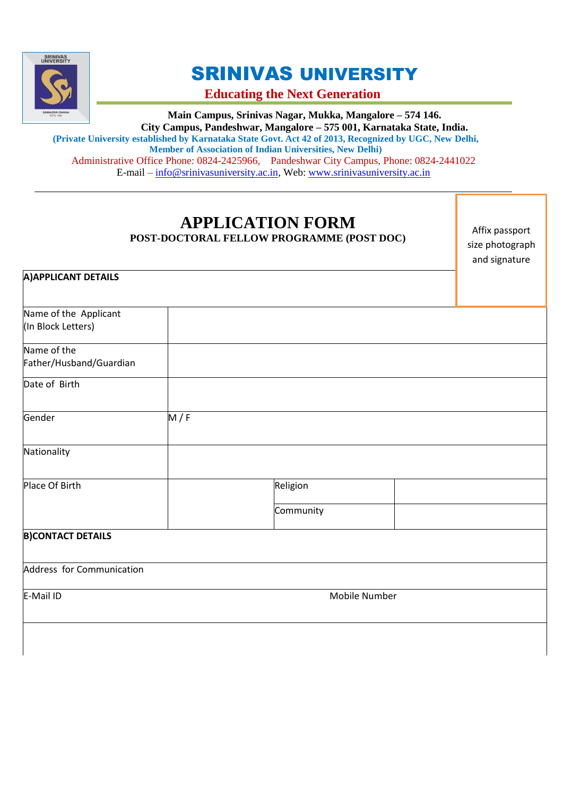

**A)APPLICANT DETAILS**

# SRINIVAS UNIVERSITY

**Educating the Next Generation**

**Main Campus, Srinivas Nagar, Mukka, Mangalore – 574 146. City Campus, Pandeshwar, Mangalore – 575 001, Karnataka State, India. (Private University established by Karnataka State Govt. Act 42 of 2013, Recognized by UGC, New Delhi, Member of Association of Indian Universities, New Delhi)** Administrative Office Phone: 0824-2425966, Pandeshwar City Campus, Phone: 0824-2441022 E-mail – [info@srinivasuniversity.ac.in,](mailto:info@srinivasuniversity.ac.in) Web: [www.srinivasuniversity.ac.in](http://www.srinivasuniversity.ac.in/)

## **APPLICATION FORM POST-DOCTORAL FELLOW PROGRAMME (POST DOC)**

Affix passport size photograph and signature

| Name of the Applicant     |     |               |  |
|---------------------------|-----|---------------|--|
| (In Block Letters)        |     |               |  |
| Name of the               |     |               |  |
| Father/Husband/Guardian   |     |               |  |
| Date of Birth             |     |               |  |
| Gender                    | M/F |               |  |
| Nationality               |     |               |  |
| Place Of Birth            |     | Religion      |  |
|                           |     | Community     |  |
| <b>B)CONTACT DETAILS</b>  |     |               |  |
| Address for Communication |     |               |  |
| E-Mail ID                 |     | Mobile Number |  |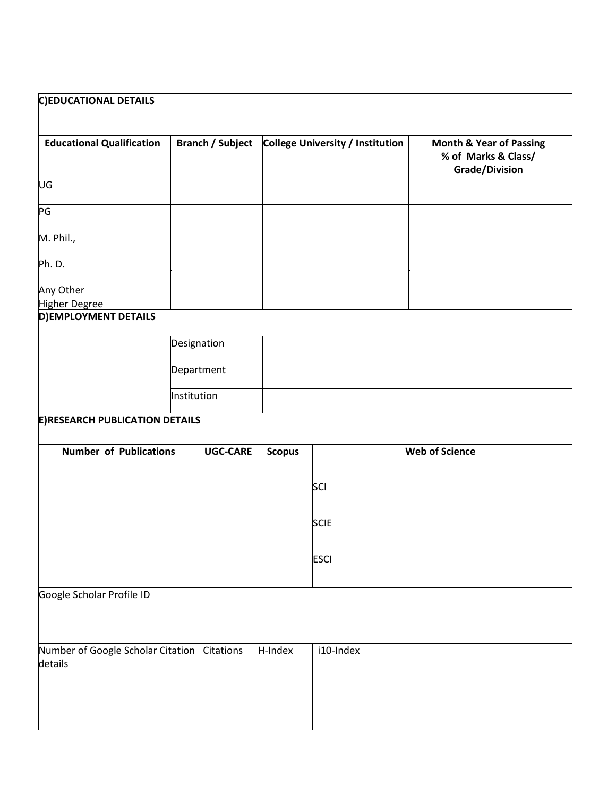| <b>C)EDUCATIONAL DETAILS</b>          |                         |               |                                  |                                                                                    |
|---------------------------------------|-------------------------|---------------|----------------------------------|------------------------------------------------------------------------------------|
| <b>Educational Qualification</b>      | <b>Branch / Subject</b> |               | College University / Institution | <b>Month &amp; Year of Passing</b><br>% of Marks & Class/<br><b>Grade/Division</b> |
| UG                                    |                         |               |                                  |                                                                                    |
| PG                                    |                         |               |                                  |                                                                                    |
| M. Phil.,                             |                         |               |                                  |                                                                                    |
| Ph. D.                                |                         |               |                                  |                                                                                    |
| Any Other<br><b>Higher Degree</b>     |                         |               |                                  |                                                                                    |
| D) EMPLOYMENT DETAILS                 |                         |               |                                  |                                                                                    |
|                                       | Designation             |               |                                  |                                                                                    |
|                                       |                         |               |                                  |                                                                                    |
|                                       | Department              |               |                                  |                                                                                    |
|                                       | Institution             |               |                                  |                                                                                    |
| <b>E)RESEARCH PUBLICATION DETAILS</b> |                         |               |                                  |                                                                                    |
|                                       |                         |               |                                  |                                                                                    |
| <b>Number of Publications</b>         | UGC-CARE                | <b>Scopus</b> |                                  | <b>Web of Science</b>                                                              |
|                                       |                         |               | SCI                              |                                                                                    |
|                                       |                         |               |                                  |                                                                                    |
|                                       |                         |               | <b>SCIE</b>                      |                                                                                    |
|                                       |                         |               |                                  |                                                                                    |
|                                       |                         |               | <b>ESCI</b>                      |                                                                                    |
|                                       |                         |               |                                  |                                                                                    |
| Google Scholar Profile ID             |                         |               |                                  |                                                                                    |
|                                       |                         |               |                                  |                                                                                    |
| Number of Google Scholar Citation     | Citations               | H-Index       | i10-Index                        |                                                                                    |
| details                               |                         |               |                                  |                                                                                    |
|                                       |                         |               |                                  |                                                                                    |
|                                       |                         |               |                                  |                                                                                    |
|                                       |                         |               |                                  |                                                                                    |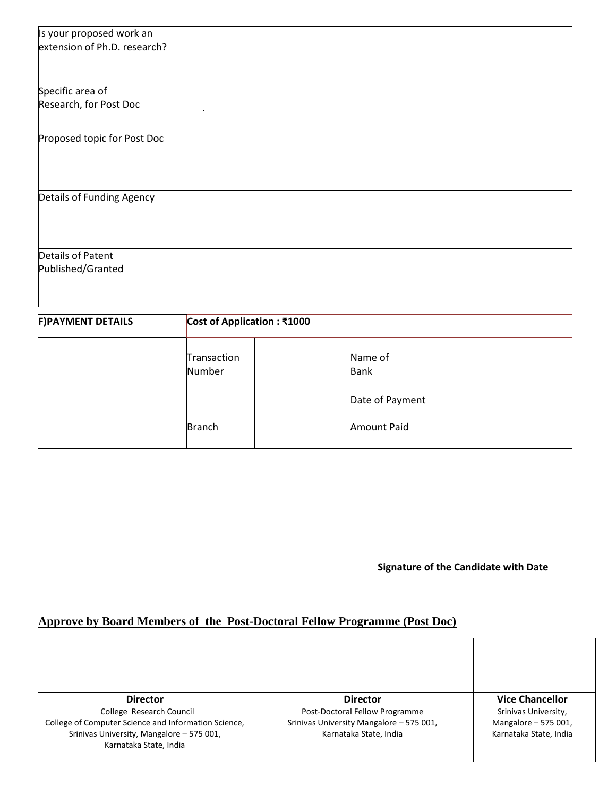| Is your proposed work an     |                             |
|------------------------------|-----------------------------|
| extension of Ph.D. research? |                             |
|                              |                             |
|                              |                             |
| Specific area of             |                             |
| Research, for Post Doc       |                             |
|                              |                             |
| Proposed topic for Post Doc  |                             |
|                              |                             |
|                              |                             |
|                              |                             |
| Details of Funding Agency    |                             |
|                              |                             |
|                              |                             |
| <b>Details of Patent</b>     |                             |
| Published/Granted            |                             |
|                              |                             |
|                              |                             |
| <b>F)PAYMENT DETAILS</b>     | Cost of Application : ₹1000 |

Name of Bank

Date of Payment

Amount Paid

**Signature of the Candidate with Date**

## **Approve by Board Members of the Post-Doctoral Fellow Programme (Post Doc)**

Transaction Number

Branch

| <b>Director</b><br>College Research Council<br>College of Computer Science and Information Science, | <b>Director</b><br>Post-Doctoral Fellow Programme<br>Srinivas University Mangalore - 575 001, | <b>Vice Chancellor</b><br>Srinivas University,<br>Mangalore - 575 001, |
|-----------------------------------------------------------------------------------------------------|-----------------------------------------------------------------------------------------------|------------------------------------------------------------------------|
| Srinivas University, Mangalore - 575 001,<br>Karnataka State, India                                 | Karnataka State, India                                                                        | Karnataka State, India                                                 |